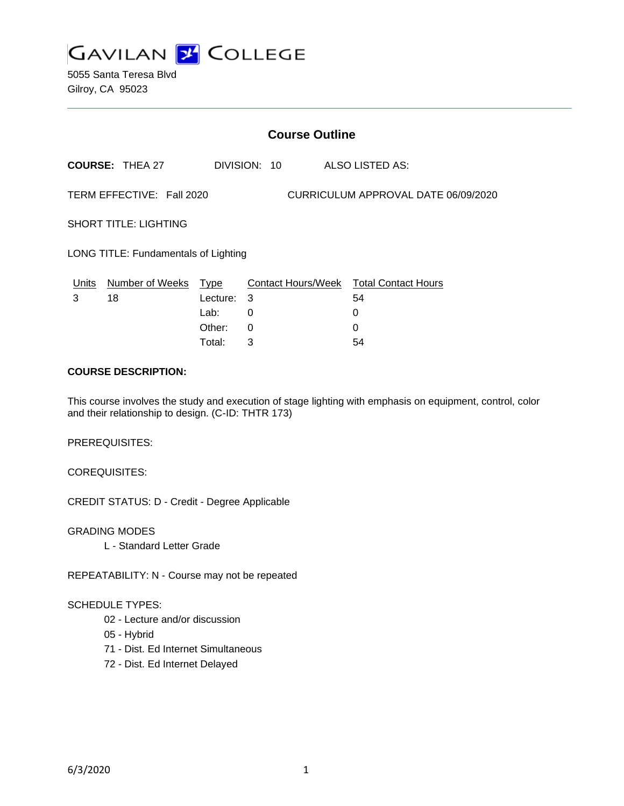

5055 Santa Teresa Blvd Gilroy, CA 95023

| <b>Course Outline</b>                                            |                        |                  |        |  |  |                                              |
|------------------------------------------------------------------|------------------------|------------------|--------|--|--|----------------------------------------------|
|                                                                  | <b>COURSE: THEA 27</b> | DIVISION: 10     |        |  |  | ALSO LISTED AS:                              |
| TERM EFFECTIVE: Fall 2020<br>CURRICULUM APPROVAL DATE 06/09/2020 |                        |                  |        |  |  |                                              |
| <b>SHORT TITLE: LIGHTING</b>                                     |                        |                  |        |  |  |                                              |
| LONG TITLE: Fundamentals of Lighting                             |                        |                  |        |  |  |                                              |
| Units<br>3                                                       | Number of Weeks<br>18  | Type<br>Lecture: | -3     |  |  | Contact Hours/Week Total Contact Hours<br>54 |
|                                                                  |                        | Lab:<br>Other:   | 0<br>0 |  |  | 0<br>0                                       |
|                                                                  |                        |                  |        |  |  |                                              |

Total: 3 54

#### **COURSE DESCRIPTION:**

This course involves the study and execution of stage lighting with emphasis on equipment, control, color and their relationship to design. (C-ID: THTR 173)

PREREQUISITES:

COREQUISITES:

CREDIT STATUS: D - Credit - Degree Applicable

GRADING MODES L - Standard Letter Grade

REPEATABILITY: N - Course may not be repeated

### SCHEDULE TYPES:

- 02 Lecture and/or discussion
- 05 Hybrid
- 71 Dist. Ed Internet Simultaneous
- 72 Dist. Ed Internet Delayed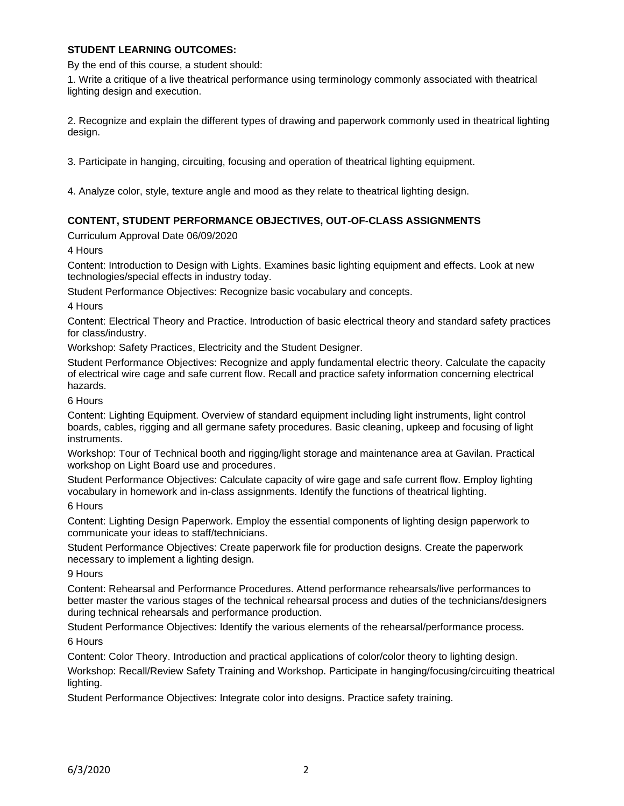### **STUDENT LEARNING OUTCOMES:**

By the end of this course, a student should:

1. Write a critique of a live theatrical performance using terminology commonly associated with theatrical lighting design and execution.

2. Recognize and explain the different types of drawing and paperwork commonly used in theatrical lighting design.

3. Participate in hanging, circuiting, focusing and operation of theatrical lighting equipment.

4. Analyze color, style, texture angle and mood as they relate to theatrical lighting design.

### **CONTENT, STUDENT PERFORMANCE OBJECTIVES, OUT-OF-CLASS ASSIGNMENTS**

Curriculum Approval Date 06/09/2020

4 Hours

Content: Introduction to Design with Lights. Examines basic lighting equipment and effects. Look at new technologies/special effects in industry today.

Student Performance Objectives: Recognize basic vocabulary and concepts.

4 Hours

Content: Electrical Theory and Practice. Introduction of basic electrical theory and standard safety practices for class/industry.

Workshop: Safety Practices, Electricity and the Student Designer.

Student Performance Objectives: Recognize and apply fundamental electric theory. Calculate the capacity of electrical wire cage and safe current flow. Recall and practice safety information concerning electrical hazards.

6 Hours

Content: Lighting Equipment. Overview of standard equipment including light instruments, light control boards, cables, rigging and all germane safety procedures. Basic cleaning, upkeep and focusing of light instruments.

Workshop: Tour of Technical booth and rigging/light storage and maintenance area at Gavilan. Practical workshop on Light Board use and procedures.

Student Performance Objectives: Calculate capacity of wire gage and safe current flow. Employ lighting vocabulary in homework and in-class assignments. Identify the functions of theatrical lighting.

6 Hours

Content: Lighting Design Paperwork. Employ the essential components of lighting design paperwork to communicate your ideas to staff/technicians.

Student Performance Objectives: Create paperwork file for production designs. Create the paperwork necessary to implement a lighting design.

9 Hours

Content: Rehearsal and Performance Procedures. Attend performance rehearsals/live performances to better master the various stages of the technical rehearsal process and duties of the technicians/designers during technical rehearsals and performance production.

Student Performance Objectives: Identify the various elements of the rehearsal/performance process. 6 Hours

Content: Color Theory. Introduction and practical applications of color/color theory to lighting design.

Workshop: Recall/Review Safety Training and Workshop. Participate in hanging/focusing/circuiting theatrical lighting.

Student Performance Objectives: Integrate color into designs. Practice safety training.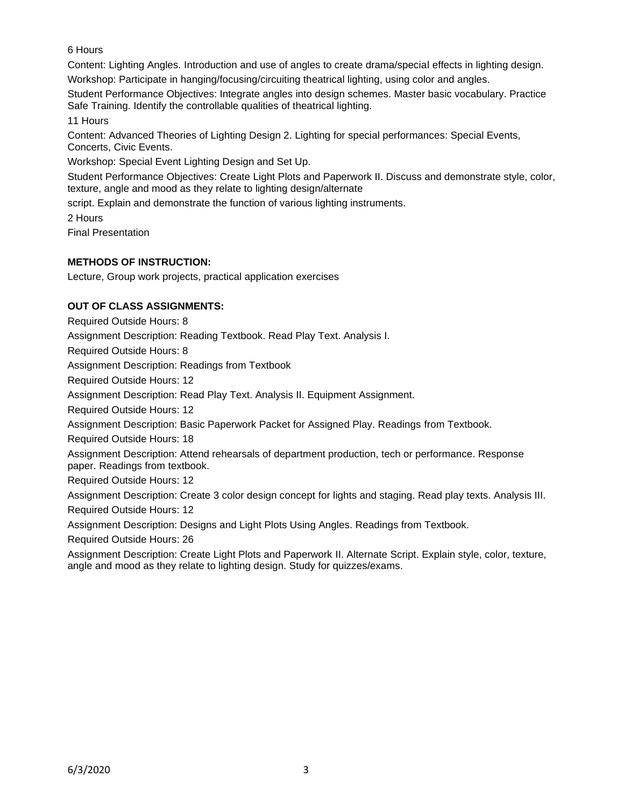6 Hours

Content: Lighting Angles. Introduction and use of angles to create drama/special effects in lighting design.

Workshop: Participate in hanging/focusing/circuiting theatrical lighting, using color and angles.

Student Performance Objectives: Integrate angles into design schemes. Master basic vocabulary. Practice Safe Training. Identify the controllable qualities of theatrical lighting.

11 Hours

Content: Advanced Theories of Lighting Design 2. Lighting for special performances: Special Events, Concerts, Civic Events.

Workshop: Special Event Lighting Design and Set Up.

Student Performance Objectives: Create Light Plots and Paperwork II. Discuss and demonstrate style, color, texture, angle and mood as they relate to lighting design/alternate

script. Explain and demonstrate the function of various lighting instruments.

2 Hours

Final Presentation

# **METHODS OF INSTRUCTION:**

Lecture, Group work projects, practical application exercises

# **OUT OF CLASS ASSIGNMENTS:**

Required Outside Hours: 8

Assignment Description: Reading Textbook. Read Play Text. Analysis I.

Required Outside Hours: 8

Assignment Description: Readings from Textbook

Required Outside Hours: 12

Assignment Description: Read Play Text. Analysis II. Equipment Assignment.

Required Outside Hours: 12

Assignment Description: Basic Paperwork Packet for Assigned Play. Readings from Textbook.

Required Outside Hours: 18

Assignment Description: Attend rehearsals of department production, tech or performance. Response paper. Readings from textbook.

Required Outside Hours: 12

Assignment Description: Create 3 color design concept for lights and staging. Read play texts. Analysis III.

Required Outside Hours: 12

Assignment Description: Designs and Light Plots Using Angles. Readings from Textbook.

Required Outside Hours: 26

Assignment Description: Create Light Plots and Paperwork II. Alternate Script. Explain style, color, texture, angle and mood as they relate to lighting design. Study for quizzes/exams.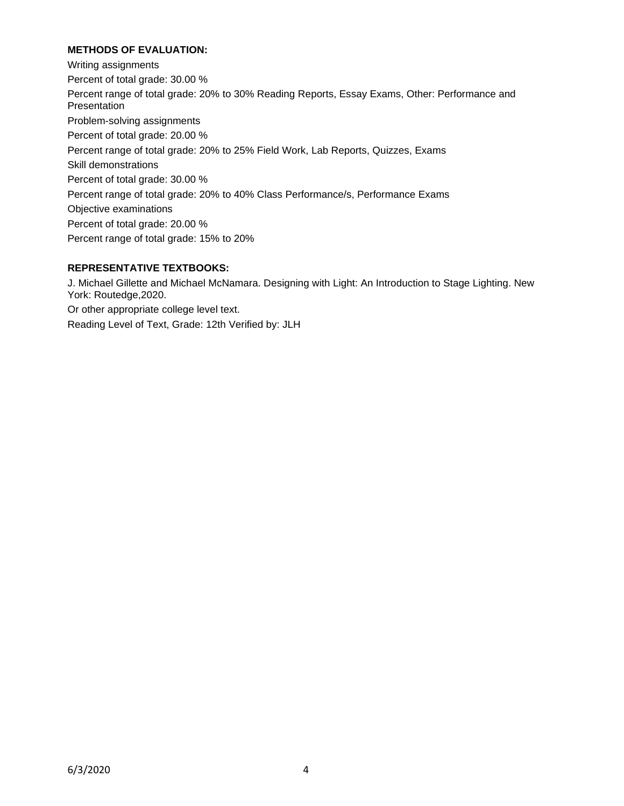## **METHODS OF EVALUATION:**

Writing assignments Percent of total grade: 30.00 % Percent range of total grade: 20% to 30% Reading Reports, Essay Exams, Other: Performance and Presentation Problem-solving assignments Percent of total grade: 20.00 % Percent range of total grade: 20% to 25% Field Work, Lab Reports, Quizzes, Exams Skill demonstrations Percent of total grade: 30.00 % Percent range of total grade: 20% to 40% Class Performance/s, Performance Exams Objective examinations Percent of total grade: 20.00 % Percent range of total grade: 15% to 20%

## **REPRESENTATIVE TEXTBOOKS:**

J. Michael Gillette and Michael McNamara. Designing with Light: An Introduction to Stage Lighting. New York: Routedge,2020. Or other appropriate college level text. Reading Level of Text, Grade: 12th Verified by: JLH